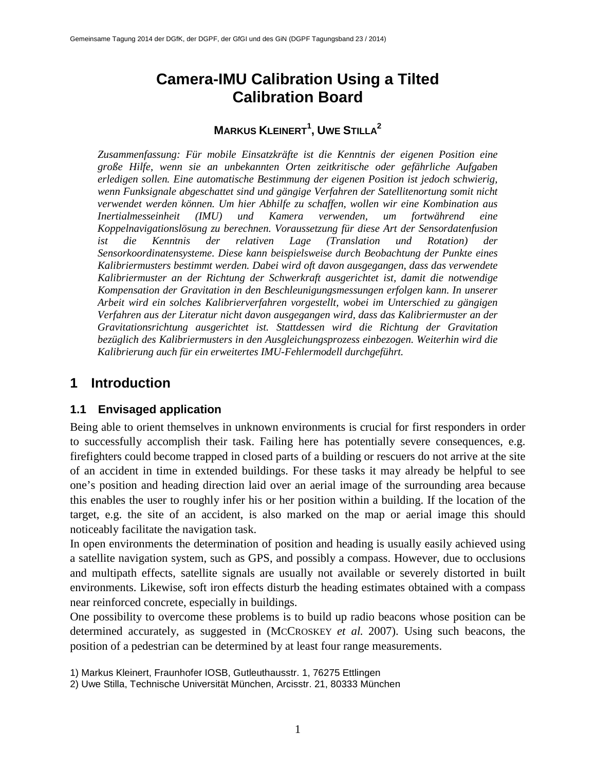# **Camera-IMU Calibration Using a Tilted Calibration Board**

# **MARKUS KLEINERT<sup>1</sup> , UWE STILLA2**

*Zusammenfassung: Für mobile Einsatzkräfte ist die Kenntnis der eigenen Position eine große Hilfe, wenn sie an unbekannten Orten zeitkritische oder gefährliche Aufgaben erledigen sollen. Eine automatische Bestimmung der eigenen Position ist jedoch schwierig, wenn Funksignale abgeschattet sind und gängige Verfahren der Satellitenortung somit nicht verwendet werden können. Um hier Abhilfe zu schaffen, wollen wir eine Kombination aus Inertialmesseinheit (IMU) und Kamera verwenden, um fortwährend eine Koppelnavigationslösung zu berechnen. Voraussetzung für diese Art der Sensordatenfusion ist die Kenntnis der relativen Lage (Translation und Rotation) der Sensorkoordinatensysteme. Diese kann beispielsweise durch Beobachtung der Punkte eines Kalibriermusters bestimmt werden. Dabei wird oft davon ausgegangen, dass das verwendete Kalibriermuster an der Richtung der Schwerkraft ausgerichtet ist, damit die notwendige Kompensation der Gravitation in den Beschleunigungsmessungen erfolgen kann. In unserer Arbeit wird ein solches Kalibrierverfahren vorgestellt, wobei im Unterschied zu gängigen Verfahren aus der Literatur nicht davon ausgegangen wird, dass das Kalibriermuster an der Gravitationsrichtung ausgerichtet ist. Stattdessen wird die Richtung der Gravitation bezüglich des Kalibriermusters in den Ausgleichungsprozess einbezogen. Weiterhin wird die Kalibrierung auch für ein erweitertes IMU-Fehlermodell durchgeführt.*

# **1 Introduction**

### **1.1 Envisaged application**

Being able to orient themselves in unknown environments is crucial for first responders in order to successfully accomplish their task. Failing here has potentially severe consequences, e.g. firefighters could become trapped in closed parts of a building or rescuers do not arrive at the site of an accident in time in extended buildings. For these tasks it may already be helpful to see one's position and heading direction laid over an aerial image of the surrounding area because this enables the user to roughly infer his or her position within a building. If the location of the target, e.g. the site of an accident, is also marked on the map or aerial image this should noticeably facilitate the navigation task.

In open environments the determination of position and heading is usually easily achieved using a satellite navigation system, such as GPS, and possibly a compass. However, due to occlusions and multipath effects, satellite signals are usually not available or severely distorted in built environments. Likewise, soft iron effects disturb the heading estimates obtained with a compass near reinforced concrete, especially in buildings.

One possibility to overcome these problems is to build up radio beacons whose position can be determined accurately, as suggested in (MCCROSKEY *et al.* 2007). Using such beacons, the position of a pedestrian can be determined by at least four range measurements.

1) Markus Kleinert, Fraunhofer IOSB, Gutleuthausstr. 1, 76275 Ettlingen

<sup>2)</sup> Uwe Stilla, Technische Universität München, Arcisstr. 21, 80333 München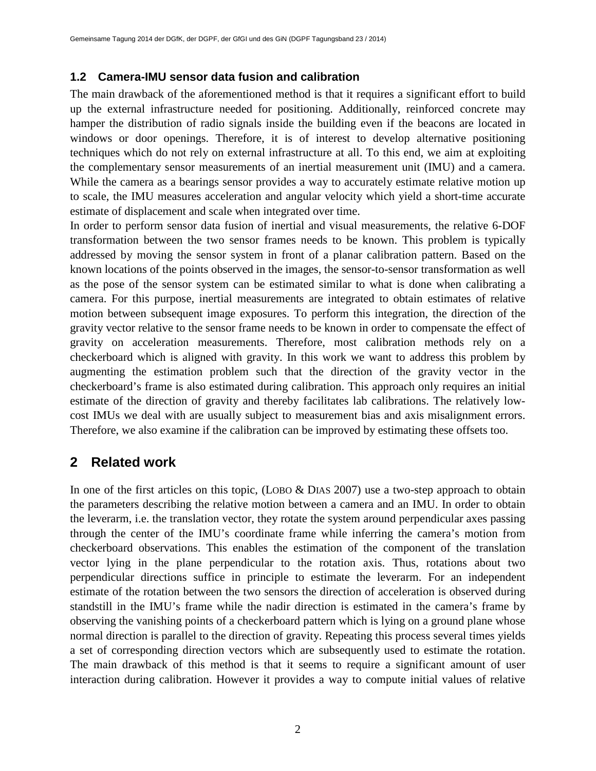### **1.2 Camera-IMU sensor data fusion and calibration**

The main drawback of the aforementioned method is that it requires a significant effort to build up the external infrastructure needed for positioning. Additionally, reinforced concrete may hamper the distribution of radio signals inside the building even if the beacons are located in windows or door openings. Therefore, it is of interest to develop alternative positioning techniques which do not rely on external infrastructure at all. To this end, we aim at exploiting the complementary sensor measurements of an inertial measurement unit (IMU) and a camera. While the camera as a bearings sensor provides a way to accurately estimate relative motion up to scale, the IMU measures acceleration and angular velocity which yield a short-time accurate estimate of displacement and scale when integrated over time.

In order to perform sensor data fusion of inertial and visual measurements, the relative 6-DOF transformation between the two sensor frames needs to be known. This problem is typically addressed by moving the sensor system in front of a planar calibration pattern. Based on the known locations of the points observed in the images, the sensor-to-sensor transformation as well as the pose of the sensor system can be estimated similar to what is done when calibrating a camera. For this purpose, inertial measurements are integrated to obtain estimates of relative motion between subsequent image exposures. To perform this integration, the direction of the gravity vector relative to the sensor frame needs to be known in order to compensate the effect of gravity on acceleration measurements. Therefore, most calibration methods rely on a checkerboard which is aligned with gravity. In this work we want to address this problem by augmenting the estimation problem such that the direction of the gravity vector in the checkerboard's frame is also estimated during calibration. This approach only requires an initial estimate of the direction of gravity and thereby facilitates lab calibrations. The relatively lowcost IMUs we deal with are usually subject to measurement bias and axis misalignment errors. Therefore, we also examine if the calibration can be improved by estimating these offsets too.

## **2 Related work**

In one of the first articles on this topic, (LOBO  $\&$  DIAS 2007) use a two-step approach to obtain the parameters describing the relative motion between a camera and an IMU. In order to obtain the leverarm, i.e. the translation vector, they rotate the system around perpendicular axes passing through the center of the IMU's coordinate frame while inferring the camera's motion from checkerboard observations. This enables the estimation of the component of the translation vector lying in the plane perpendicular to the rotation axis. Thus, rotations about two perpendicular directions suffice in principle to estimate the leverarm. For an independent estimate of the rotation between the two sensors the direction of acceleration is observed during standstill in the IMU's frame while the nadir direction is estimated in the camera's frame by observing the vanishing points of a checkerboard pattern which is lying on a ground plane whose normal direction is parallel to the direction of gravity. Repeating this process several times yields a set of corresponding direction vectors which are subsequently used to estimate the rotation. The main drawback of this method is that it seems to require a significant amount of user interaction during calibration. However it provides a way to compute initial values of relative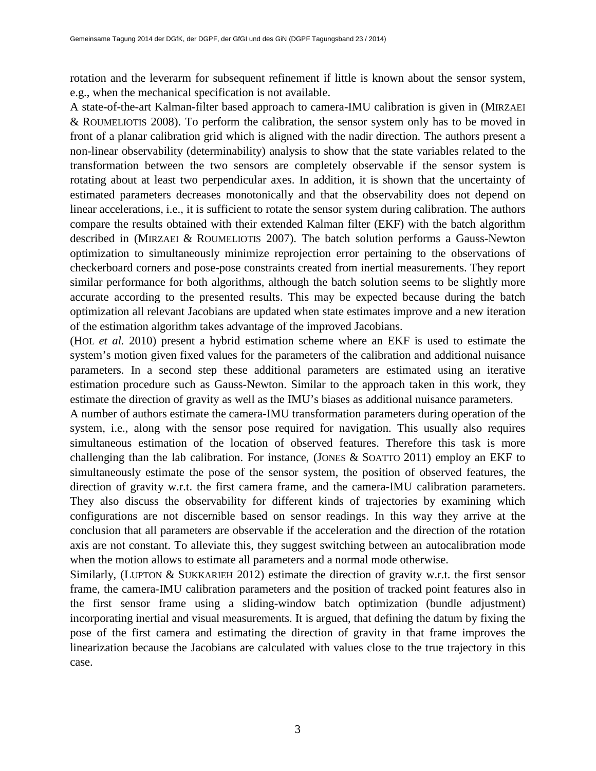rotation and the leverarm for subsequent refinement if little is known about the sensor system, e.g., when the mechanical specification is not available.

A state-of-the-art Kalman-filter based approach to camera-IMU calibration is given in (MIRZAEI & ROUMELIOTIS 2008). To perform the calibration, the sensor system only has to be moved in front of a planar calibration grid which is aligned with the nadir direction. The authors present a non-linear observability (determinability) analysis to show that the state variables related to the transformation between the two sensors are completely observable if the sensor system is rotating about at least two perpendicular axes. In addition, it is shown that the uncertainty of estimated parameters decreases monotonically and that the observability does not depend on linear accelerations, i.e., it is sufficient to rotate the sensor system during calibration. The authors compare the results obtained with their extended Kalman filter (EKF) with the batch algorithm described in (MIRZAEI & ROUMELIOTIS 2007). The batch solution performs a Gauss-Newton optimization to simultaneously minimize reprojection error pertaining to the observations of checkerboard corners and pose-pose constraints created from inertial measurements. They report similar performance for both algorithms, although the batch solution seems to be slightly more accurate according to the presented results. This may be expected because during the batch optimization all relevant Jacobians are updated when state estimates improve and a new iteration of the estimation algorithm takes advantage of the improved Jacobians.

(HOL *et al.* 2010) present a hybrid estimation scheme where an EKF is used to estimate the system's motion given fixed values for the parameters of the calibration and additional nuisance parameters. In a second step these additional parameters are estimated using an iterative estimation procedure such as Gauss-Newton. Similar to the approach taken in this work, they estimate the direction of gravity as well as the IMU's biases as additional nuisance parameters.

A number of authors estimate the camera-IMU transformation parameters during operation of the system, i.e., along with the sensor pose required for navigation. This usually also requires simultaneous estimation of the location of observed features. Therefore this task is more challenging than the lab calibration. For instance, (JONES & SOATTO 2011) employ an EKF to simultaneously estimate the pose of the sensor system, the position of observed features, the direction of gravity w.r.t. the first camera frame, and the camera-IMU calibration parameters. They also discuss the observability for different kinds of trajectories by examining which configurations are not discernible based on sensor readings. In this way they arrive at the conclusion that all parameters are observable if the acceleration and the direction of the rotation axis are not constant. To alleviate this, they suggest switching between an autocalibration mode when the motion allows to estimate all parameters and a normal mode otherwise.

Similarly, (LUPTON & SUKKARIEH 2012) estimate the direction of gravity w.r.t. the first sensor frame, the camera-IMU calibration parameters and the position of tracked point features also in the first sensor frame using a sliding-window batch optimization (bundle adjustment) incorporating inertial and visual measurements. It is argued, that defining the datum by fixing the pose of the first camera and estimating the direction of gravity in that frame improves the linearization because the Jacobians are calculated with values close to the true trajectory in this case.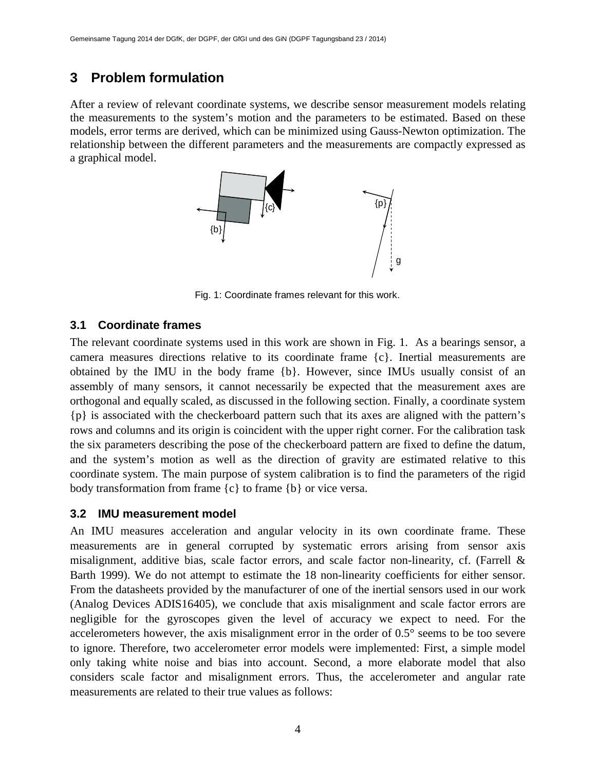# **3 Problem formulation**

After a review of relevant coordinate systems, we describe sensor measurement models relating the measurements to the system's motion and the parameters to be estimated. Based on these models, error terms are derived, which can be minimized using Gauss-Newton optimization. The relationship between the different parameters and the measurements are compactly expressed as a graphical model.



Fig. 1: Coordinate frames relevant for this work.

## **3.1 Coordinate frames**

The relevant coordinate systems used in this work are shown in Fig. 1. As a bearings sensor, a camera measures directions relative to its coordinate frame {c}. Inertial measurements are obtained by the IMU in the body frame {b}. However, since IMUs usually consist of an assembly of many sensors, it cannot necessarily be expected that the measurement axes are orthogonal and equally scaled, as discussed in the following section. Finally, a coordinate system {p} is associated with the checkerboard pattern such that its axes are aligned with the pattern's rows and columns and its origin is coincident with the upper right corner. For the calibration task the six parameters describing the pose of the checkerboard pattern are fixed to define the datum, and the system's motion as well as the direction of gravity are estimated relative to this coordinate system. The main purpose of system calibration is to find the parameters of the rigid body transformation from frame  $\{c\}$  to frame  $\{b\}$  or vice versa.

### **3.2 IMU measurement model**

An IMU measures acceleration and angular velocity in its own coordinate frame. These measurements are in general corrupted by systematic errors arising from sensor axis misalignment, additive bias, scale factor errors, and scale factor non-linearity, cf. (Farrell & Barth 1999). We do not attempt to estimate the 18 non-linearity coefficients for either sensor. From the datasheets provided by the manufacturer of one of the inertial sensors used in our work (Analog Devices ADIS16405), we conclude that axis misalignment and scale factor errors are negligible for the gyroscopes given the level of accuracy we expect to need. For the accelerometers however, the axis misalignment error in the order of 0.5° seems to be too severe to ignore. Therefore, two accelerometer error models were implemented: First, a simple model only taking white noise and bias into account. Second, a more elaborate model that also considers scale factor and misalignment errors. Thus, the accelerometer and angular rate measurements are related to their true values as follows: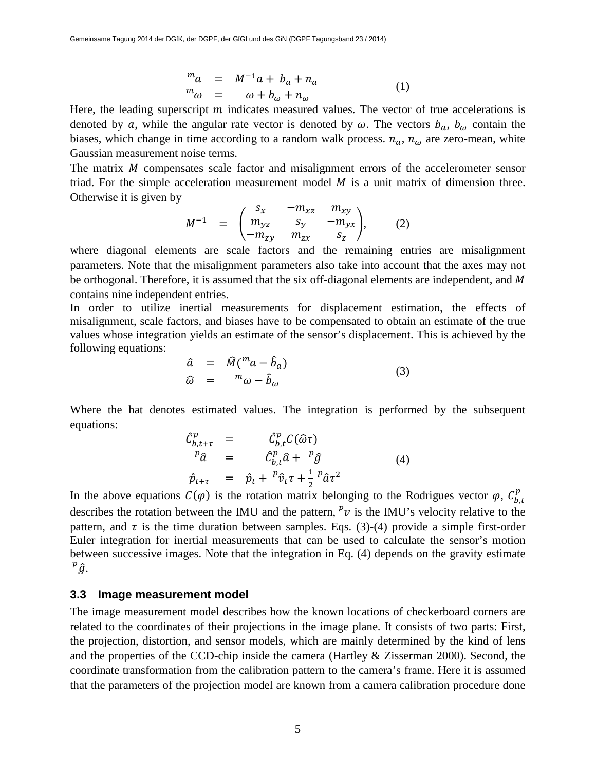$$
\begin{array}{rcl}\nm a & = & M^{-1}a + b_a + n_a \\
m \omega & = & \omega + b_\omega + n_\omega\n\end{array} \tag{1}
$$

Here, the leading superscript  $m$  indicates measured values. The vector of true accelerations is denoted by a, while the angular rate vector is denoted by  $\omega$ . The vectors  $b_{a}$ ,  $b_{\omega}$  contain the biases, which change in time according to a random walk process.  $n_a$ ,  $n_\omega$  are zero-mean, white Gaussian measurement noise terms.

The matrix  $M$  compensates scale factor and misalignment errors of the accelerometer sensor triad. For the simple acceleration measurement model  $M$  is a unit matrix of dimension three. Otherwise it is given by

$$
M^{-1} = \begin{pmatrix} S_x & -m_{xz} & m_{xy} \\ m_{yz} & S_y & -m_{yx} \\ -m_{zy} & m_{zx} & S_z \end{pmatrix},
$$
 (2)

where diagonal elements are scale factors and the remaining entries are misalignment parameters. Note that the misalignment parameters also take into account that the axes may not be orthogonal. Therefore, it is assumed that the six off-diagonal elements are independent, and M contains nine independent entries.

In order to utilize inertial measurements for displacement estimation, the effects of misalignment, scale factors, and biases have to be compensated to obtain an estimate of the true values whose integration yields an estimate of the sensor's displacement. This is achieved by the following equations:

$$
\hat{a} = \hat{M} \left( \frac{m_a - \hat{b}_a}{\hat{b}_\omega} \right) \n\hat{\omega} = \frac{m_\omega - \hat{b}_\omega}{\hat{b}_\omega}
$$
\n(3)

Where the hat denotes estimated values. The integration is performed by the subsequent equations:

$$
\begin{array}{rcl}\n\hat{C}_{b,t+\tau}^p &=& \hat{C}_{b,t}^p C(\hat{\omega}\tau) \\
p_{\hat{a}}^p &=& \hat{C}_{b,t}^p \hat{a} + \frac{p_{\hat{g}}^p}{2} \\
\hat{p}_{t+\tau} &=& \hat{p}_t + \frac{p_{\hat{v}}\tau + \frac{1}{2} \frac{p_{\hat{a}}\tau^2}{2}\n\end{array}\n\tag{4}
$$

In the above equations  $C(\varphi)$  is the rotation matrix belonging to the Rodrigues vector  $\varphi$ ,  $C_{b,t}^p$ describes the rotation between the IMU and the pattern,  $v$  is the IMU's velocity relative to the pattern, and  $\tau$  is the time duration between samples. Eqs. (3)-(4) provide a simple first-order Euler integration for inertial measurements that can be used to calculate the sensor's motion between successive images. Note that the integration in Eq. (4) depends on the gravity estimate  $^p\hat{g}$ .

#### **3.3 Image measurement model**

The image measurement model describes how the known locations of checkerboard corners are related to the coordinates of their projections in the image plane. It consists of two parts: First, the projection, distortion, and sensor models, which are mainly determined by the kind of lens and the properties of the CCD-chip inside the camera (Hartley & Zisserman 2000). Second, the coordinate transformation from the calibration pattern to the camera's frame. Here it is assumed that the parameters of the projection model are known from a camera calibration procedure done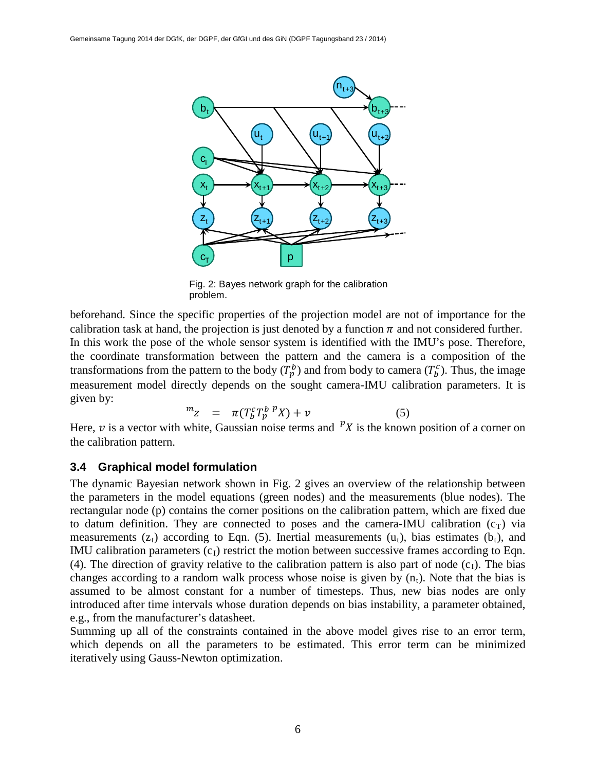

Fig. 2: Bayes network graph for the calibration problem.

 In this work the pose of the whole sensor system is identified with the IMU's pose. Therefore, beforehand. Since the specific properties of the projection model are not of importance for the calibration task at hand, the projection is just denoted by a function  $\pi$  and not considered further. the coordinate transformation between the pattern and the camera is a composition of the transformations from the pattern to the body  $(T_p^b)$  and from body to camera  $(T_p^c)$ . Thus, the image measurement model directly depends on the sought camera-IMU calibration parameters. It is given by:

$$
m_Z = \pi (T_b^c T_p^{b}{}^p X) + v \tag{5}
$$

Here,  $\nu$  is a vector with white, Gaussian noise terms and  $\nu_X$  is the known position of a corner on the calibration pattern.

#### **3.4 Graphical model formulation**

The dynamic Bayesian network shown in Fig. 2 gives an overview of the relationship between the parameters in the model equations (green nodes) and the measurements (blue nodes). The rectangular node (p) contains the corner positions on the calibration pattern, which are fixed due to datum definition. They are connected to poses and the camera-IMU calibration  $(c_T)$  via measurements ( $z_t$ ) according to Eqn. (5). Inertial measurements ( $u_t$ ), bias estimates ( $b_t$ ), and IMU calibration parameters  $(c<sub>I</sub>)$  restrict the motion between successive frames according to Eqn. (4). The direction of gravity relative to the calibration pattern is also part of node  $(c<sub>1</sub>)$ . The bias changes according to a random walk process whose noise is given by  $(n_t)$ . Note that the bias is assumed to be almost constant for a number of timesteps. Thus, new bias nodes are only introduced after time intervals whose duration depends on bias instability, a parameter obtained, e.g., from the manufacturer's datasheet.

Summing up all of the constraints contained in the above model gives rise to an error term, which depends on all the parameters to be estimated. This error term can be minimized iteratively using Gauss-Newton optimization.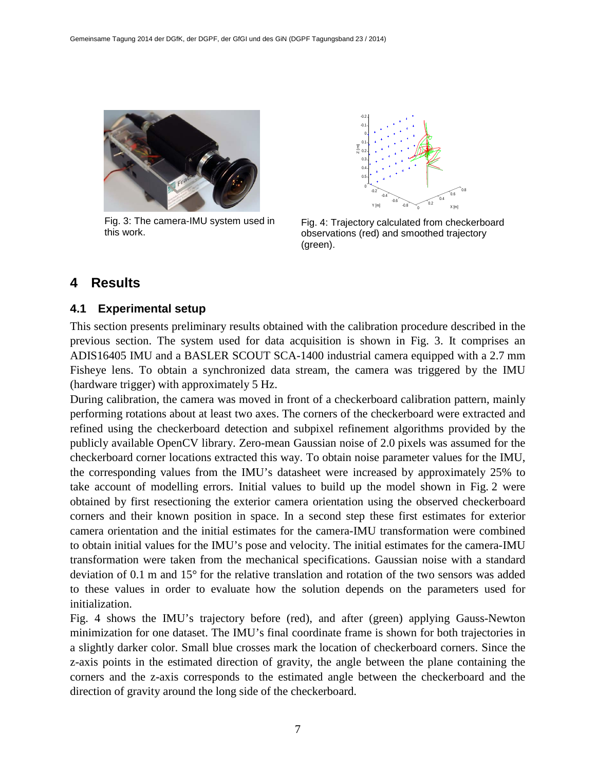

Fig. 3: The camera-IMU system used in this work.



Fig. 4: Trajectory calculated from checkerboard observations (red) and smoothed trajectory (green).

# **4 Results**

#### **4.1 Experimental setup**

This section presents preliminary results obtained with the calibration procedure described in the previous section. The system used for data acquisition is shown in Fig. 3. It comprises an ADIS16405 IMU and a BASLER SCOUT SCA-1400 industrial camera equipped with a 2.7 mm Fisheye lens. To obtain a synchronized data stream, the camera was triggered by the IMU (hardware trigger) with approximately 5 Hz.

During calibration, the camera was moved in front of a checkerboard calibration pattern, mainly performing rotations about at least two axes. The corners of the checkerboard were extracted and refined using the checkerboard detection and subpixel refinement algorithms provided by the publicly available OpenCV library. Zero-mean Gaussian noise of 2.0 pixels was assumed for the checkerboard corner locations extracted this way. To obtain noise parameter values for the IMU, the corresponding values from the IMU's datasheet were increased by approximately 25% to take account of modelling errors. Initial values to build up the model shown in Fig. 2 were obtained by first resectioning the exterior camera orientation using the observed checkerboard corners and their known position in space. In a second step these first estimates for exterior camera orientation and the initial estimates for the camera-IMU transformation were combined to obtain initial values for the IMU's pose and velocity. The initial estimates for the camera-IMU transformation were taken from the mechanical specifications. Gaussian noise with a standard deviation of 0.1 m and 15° for the relative translation and rotation of the two sensors was added to these values in order to evaluate how the solution depends on the parameters used for initialization.

Fig. 4 shows the IMU's trajectory before (red), and after (green) applying Gauss-Newton minimization for one dataset. The IMU's final coordinate frame is shown for both trajectories in a slightly darker color. Small blue crosses mark the location of checkerboard corners. Since the z-axis points in the estimated direction of gravity, the angle between the plane containing the corners and the z-axis corresponds to the estimated angle between the checkerboard and the direction of gravity around the long side of the checkerboard.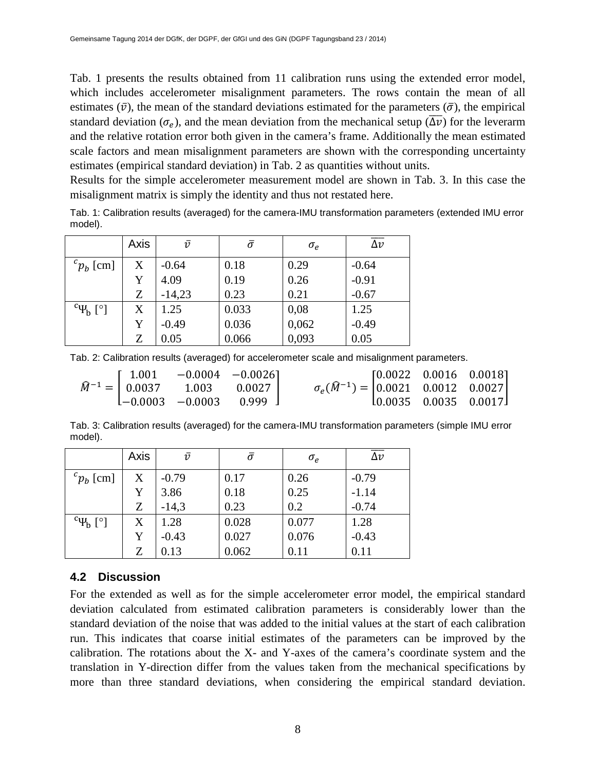Tab. 1 presents the results obtained from 11 calibration runs using the extended error model, which includes accelerometer misalignment parameters. The rows contain the mean of all estimates  $(\bar{v})$ , the mean of the standard deviations estimated for the parameters  $(\bar{\sigma})$ , the empirical standard deviation ( $\sigma_e$ ), and the mean deviation from the mechanical setup ( $\overline{\Delta v}$ ) for the leverarm and the relative rotation error both given in the camera's frame. Additionally the mean estimated scale factors and mean misalignment parameters are shown with the corresponding uncertainty estimates (empirical standard deviation) in Tab. 2 as quantities without units.

Results for the simple accelerometer measurement model are shown in Tab. 3. In this case the misalignment matrix is simply the identity and thus not restated here.

Tab. 1: Calibration results (averaged) for the camera-IMU transformation parameters (extended IMU error model).

|                                 | Axis | $\bar{v}$ | $\bar{\sigma}$ | $\sigma_e$ | $\overline{\Delta v}$ |
|---------------------------------|------|-----------|----------------|------------|-----------------------|
| ${}^{c}p_{h}$ [cm]              | X    | $-0.64$   | 0.18           | 0.29       | $-0.64$               |
|                                 | Y    | 4.09      | 0.19           | 0.26       | $-0.91$               |
|                                 | Ζ    | $-14,23$  | 0.23           | 0.21       | $-0.67$               |
| $\rm^{c}$ $\Psi_{\rm b}$ $[$ °] | X    | 1.25      | 0.033          | 0,08       | 1.25                  |
|                                 | Y    | $-0.49$   | 0.036          | 0,062      | $-0.49$               |
|                                 | Z    | 0.05      | 0.066          | 0,093      | 0.05                  |

Tab. 2: Calibration results (averaged) for accelerometer scale and misalignment parameters.

|  | $\widehat{M}^{-1} = \begin{bmatrix} 1.001 & -0.0004 & -0.0026 \\ 0.0037 & 1.003 & 0.0027 \\ -0.0003 & -0.0003 & 0.999 \end{bmatrix}$ | $\sigma_e(\widehat{M}^{-1}) = \begin{bmatrix} 0.0022 & 0.0016 & 0.0018 \\ 0.0021 & 0.0012 & 0.0027 \\ 0.0035 & 0.0035 & 0.0017 \end{bmatrix}$ |  |
|--|--------------------------------------------------------------------------------------------------------------------------------------|-----------------------------------------------------------------------------------------------------------------------------------------------|--|
|  |                                                                                                                                      |                                                                                                                                               |  |
|  |                                                                                                                                      |                                                                                                                                               |  |

Tab. 3: Calibration results (averaged) for the camera-IMU transformation parameters (simple IMU error model).

|                        | Axis | $\bar{v}$ | $\bar{\sigma}$ | $\sigma_e$ | $\overline{\Delta v}$ |
|------------------------|------|-----------|----------------|------------|-----------------------|
| ${}^{c}p_{h}$ [cm]     | X    | $-0.79$   | 0.17           | 0.26       | $-0.79$               |
|                        | Y    | 3.86      | 0.18           | 0.25       | $-1.14$               |
|                        | Z    | $-14,3$   | 0.23           | 0.2        | $-0.74$               |
| $\rm^{c} \Psi_{b}$ [°] | X    | 1.28      | 0.028          | 0.077      | 1.28                  |
|                        | Y    | $-0.43$   | 0.027          | 0.076      | $-0.43$               |
|                        | Z    | 0.13      | 0.062          | 0.11       | 0.11                  |

#### **4.2 Discussion**

For the extended as well as for the simple accelerometer error model, the empirical standard deviation calculated from estimated calibration parameters is considerably lower than the standard deviation of the noise that was added to the initial values at the start of each calibration run. This indicates that coarse initial estimates of the parameters can be improved by the calibration. The rotations about the X- and Y-axes of the camera's coordinate system and the translation in Y-direction differ from the values taken from the mechanical specifications by more than three standard deviations, when considering the empirical standard deviation.